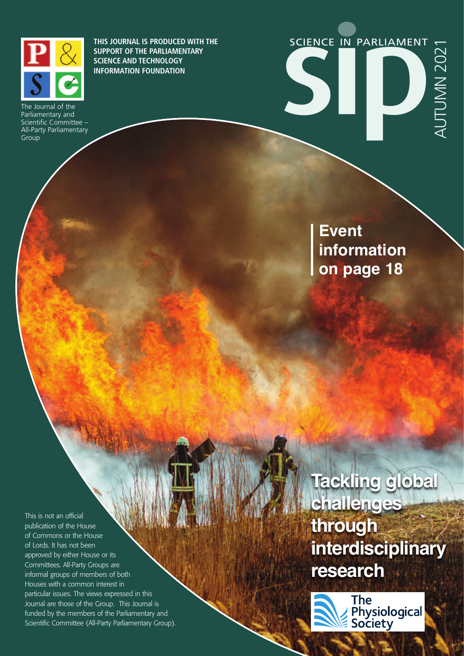

**THIS JOURNAL IS PRODUCED WITH THE SUPPORT OF THE PARLIAMENTARY SCIENCE AND TECHNOLOGY INFORMATION FOUNDATION**

The Journal of the Parliamentary and Scientific Committee – All-Party Parliamentary Group



**Event information on page 18**

This is not an official publication of the House of Commons or the House of Lords. It has not been approved by either House or its Committees. All-Party Groups are informal groups of members of both Houses with a common interest in particular issues. The views expressed in this Journal are those of the Group. This Journal is funded by the members of the Parliamentary and Scientific Committee (All-Party Parliamentary Group). **Tackling global challenges through interdisciplinary research**

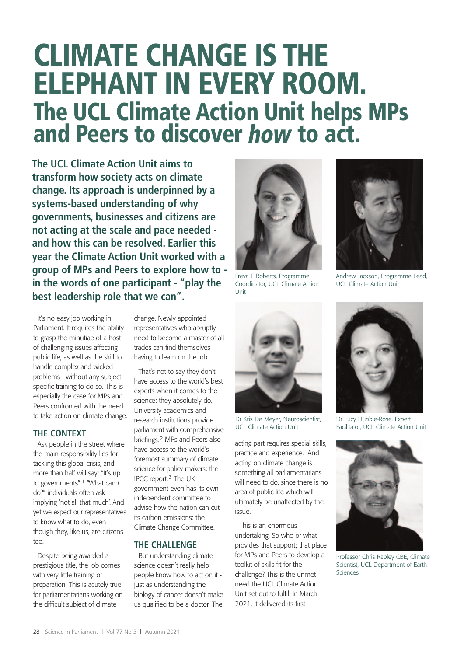# **CLIMATE CHANGE IS THE ELEPHANT IN EVERY ROOM. The UCL Climate Action Unit helps MPs** and Peers to discover how to act.

**The UCL Climate Action Unit aims to transform how society acts on climate change. Its approach is underpinned by a systems-based understanding of why governments, businesses and citizens are not acting at the scale and pace needed and how this can be resolved. Earlier this year the Climate Action Unit worked with a group of MPs and Peers to explore how to in the words of one participant - "play the best leadership role that we can".**

It's no easy job working in Parliament. It requires the ability to grasp the minutiae of a host of challenging issues affecting public life, as well as the skill to handle complex and wicked problems - without any subjectspecific training to do so. This is especially the case for MPs and Peers confronted with the need to take action on climate change.

## **THE CONTEXT**

Ask people in the street where the main responsibility lies for tackling this global crisis, and more than half will say: "It's up to governments". 1 "What can *I* do?" individuals often ask implying 'not all that much'. And yet we expect our representatives to know what to do, even though they, like us, are citizens too.

Despite being awarded a prestigious title, the job comes with very little training or preparation. This is acutely true for parliamentarians working on the difficult subject of climate

change. Newly appointed representatives who abruptly need to become a master of all trades can find themselves having to learn on the job.

That's not to say they don't have access to the world's best experts when it comes to the science: they absolutely do. University academics and research institutions provide parliament with comprehensive briefings.2 MPs and Peers also have access to the world's foremost summary of climate science for policy makers: the IPCC report.3 The UK government even has its own independent committee to advise how the nation can cut its carbon emissions: the Climate Change Committee.

## **THE CHALLENGE**

But understanding climate science doesn't really help people know how to act on it just as understanding the biology of cancer doesn't make us qualified to be a doctor. The



Freya E Roberts, Programme Coordinator, UCL Climate Action Unit



Dr Kris De Meyer, Neuroscientist, UCL Climate Action Unit

acting part requires special skills, practice and experience. And acting on climate change is something all parliamentarians will need to do, since there is no area of public life which will ultimately be unaffected by the issue.

This is an enormous undertaking. So who or what provides that support; that place for MPs and Peers to develop a toolkit of skills fit for the challenge? This is the unmet need the UCL Climate Action Unit set out to fulfil. In March 2021, it delivered its first



Andrew Jackson, Programme Lead, UCL Climate Action Unit



Dr Lucy Hubble-Rose, Expert Facilitator, UCL Climate Action Unit



Professor Chris Rapley CBE, Climate Scientist, UCL Department of Earth Sciences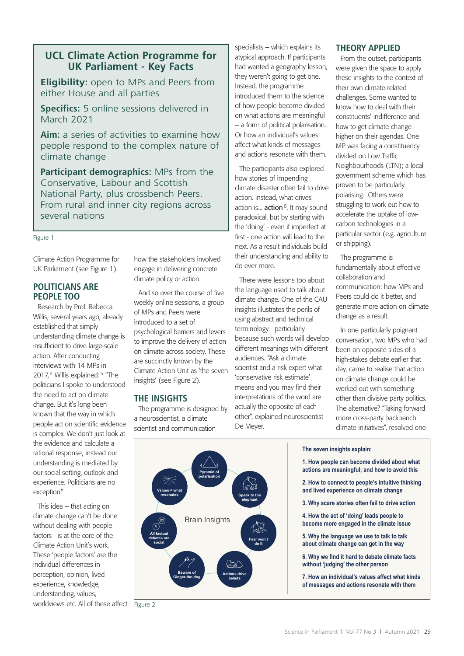## **UCL Climate Action Programme for UK Parliament - Key Facts**

**Eligibility:** open to MPs and Peers from either House and all parties

**Specifics:** 5 online sessions delivered in March 2021

**Aim:** a series of activities to examine how people respond to the complex nature of climate change

**Participant demographics:** MPs from the Conservative, Labour and Scottish National Party, plus crossbench Peers. From rural and inner city regions across several nations

Figure 1

Climate Action Programme for UK Parliament (see Figure 1).

### **POLITICIANS ARE PEOPLE TOO**

Research by Prof. Rebecca Willis, several years ago, already established that simply understanding climate change is insufficient to drive large-scale action. After conducting interviews with 14 MPs in 2017,<sup>4</sup> Willis explained:<sup>5</sup> "The politicians I spoke to understood the need to act on climate change. But it's long been known that the way in which people act on scientific evidence is complex. We don't just look at the evidence and calculate a rational response; instead our understanding is mediated by our social setting, outlook and experience. Politicians are no exception."

This idea – that acting on climate change can't be done without dealing with people factors - is at the core of the Climate Action Unit's work. These 'people factors' are the individual differences in perception, opinion, lived experience, knowledge, understanding, values, worldviews etc. All of these affect Figure 2

how the stakeholders involved engage in delivering concrete climate policy or action.

And so over the course of five weekly online sessions, a group of MPs and Peers were introduced to a set of psychological barriers and levers to improve the delivery of action on climate across society. These are succinctly known by the Climate Action Unit as 'the seven insights' (see Figure 2).

#### **THE INSIGHTS**

The programme is designed by a neuroscientist, a climate scientist and communication

specialists – which explains its atypical approach. If participants had wanted a geography lesson, they weren't going to get one. Instead, the programme introduced them to the science of how people become divided on what actions are meaningful – a form of political polarisation. Or how an individual's values affect what kinds of messages and actions resonate with them.

The participants also explored how stories of impending climate disaster often fail to drive action. Instead, what drives action is... **action**<sup>6</sup>. It may sound paradoxical, but by starting with the 'doing' - even if imperfect at first - one action will lead to the next. As a result individuals build their understanding and ability to do ever more.

There were lessons too about the language used to talk about climate change. One of the CAU insights illustrates the perils of using abstract and technical terminology - particularly because such words will develop different meanings with different audiences. "Ask a climate scientist and a risk expert what 'conservative risk estimate' means and you may find their interpretations of the word are actually the opposite of each other", explained neuroscientist De Meyer.



From the outset, participants were given the space to apply these insights to the context of their own climate-related challenges. Some wanted to know how to deal with their constituents' indifference and how to get climate change higher on their agendas. One MP was facing a constituency divided on Low Traffic Neighbourhoods (LTN); a local government scheme which has proven to be particularly polarising. Others were struggling to work out how to accelerate the uptake of lowcarbon technologies in a particular sector (e.g. agriculture or shipping).

The programme is fundamentally about effective collaboration and communication: how MPs and Peers could do it better, and generate more action on climate change as a result.

In one particularly poignant conversation, two MPs who had been on opposite sides of a high-stakes debate earlier that day, came to realise that action on climate change could be worked out with something other than divisive party politics. The alternative? "Taking forward more cross-party backbench climate initiatives", resolved one





- **1. How people can become divided about what actions are meaningful; and how to avoid this**
- **2. How to connect to people's intuitive thinking and lived experience on climate change**
- **3. Why scare stories often fail to drive action**
- **4. How the act of 'doing' leads people to become more engaged in the climate issue**
- **5. Why the language we use to talk to talk about climate change can get in the way**
- **6. Why we find it hard to debate climate facts without 'judging' the other person**
- **7. How an individual's values affect what kinds of messages and actions resonate with them**